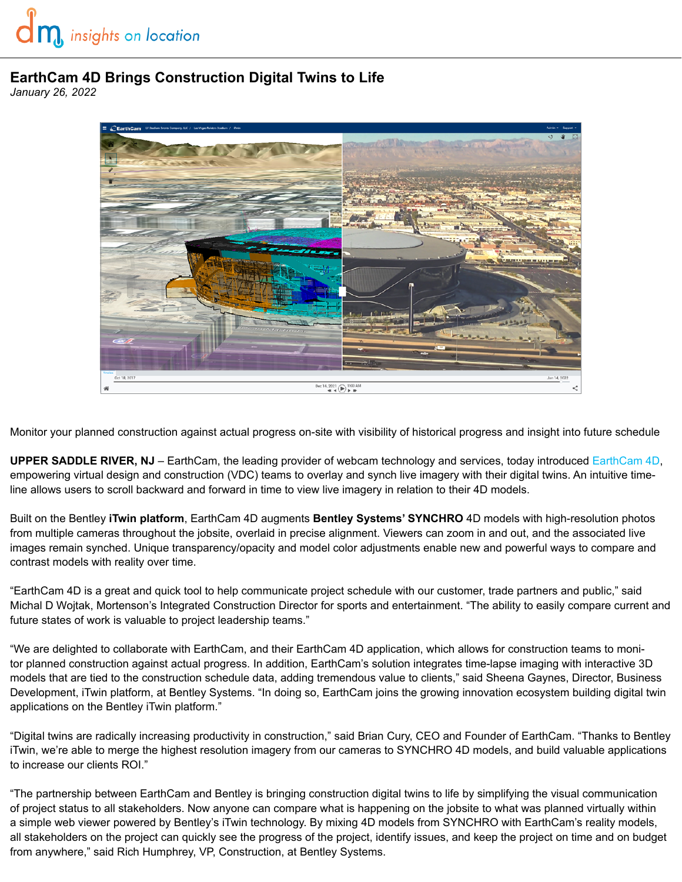## **EarthCam 4D Brings Construction Digital Twins to Life**

*January 26, 2022*



Monitor your planned construction against actual progress on-site with visibility of historical progress and insight into future schedule

**UPPER SADDLE RIVER, NJ** – EarthCam, the leading provider of webcam technology and services, today introduced [EarthCam 4D,](https://earthcam.net/earthcam4d/) empowering virtual design and construction (VDC) teams to overlay and synch live imagery with their digital twins. An intuitive timeline allows users to scroll backward and forward in time to view live imagery in relation to their 4D models.

Built on the Bentley **iTwin platform**, EarthCam 4D augments **Bentley Systems' SYNCHRO** 4D models with high-resolution photos from multiple cameras throughout the jobsite, overlaid in precise alignment. Viewers can zoom in and out, and the associated live images remain synched. Unique transparency/opacity and model color adjustments enable new and powerful ways to compare and contrast models with reality over time.

"EarthCam 4D is a great and quick tool to help communicate project schedule with our customer, trade partners and public," said Michal D Wojtak, Mortenson's Integrated Construction Director for sports and entertainment. "The ability to easily compare current and future states of work is valuable to project leadership teams."

"We are delighted to collaborate with EarthCam, and their EarthCam 4D application, which allows for construction teams to monitor planned construction against actual progress. In addition, EarthCam's solution integrates time-lapse imaging with interactive 3D models that are tied to the construction schedule data, adding tremendous value to clients," said Sheena Gaynes, Director, Business Development, iTwin platform, at Bentley Systems. "In doing so, EarthCam joins the growing innovation ecosystem building digital twin applications on the Bentley iTwin platform."

"Digital twins are radically increasing productivity in construction," said Brian Cury, CEO and Founder of EarthCam. "Thanks to Bentley iTwin, we're able to merge the highest resolution imagery from our cameras to SYNCHRO 4D models, and build valuable applications to increase our clients ROI."

"The partnership between EarthCam and Bentley is bringing construction digital twins to life by simplifying the visual communication of project status to all stakeholders. Now anyone can compare what is happening on the jobsite to what was planned virtually within a simple web viewer powered by Bentley's iTwin technology. By mixing 4D models from SYNCHRO with EarthCam's reality models, all stakeholders on the project can quickly see the progress of the project, identify issues, and keep the project on time and on budget from anywhere," said Rich Humphrey, VP, Construction, at Bentley Systems.